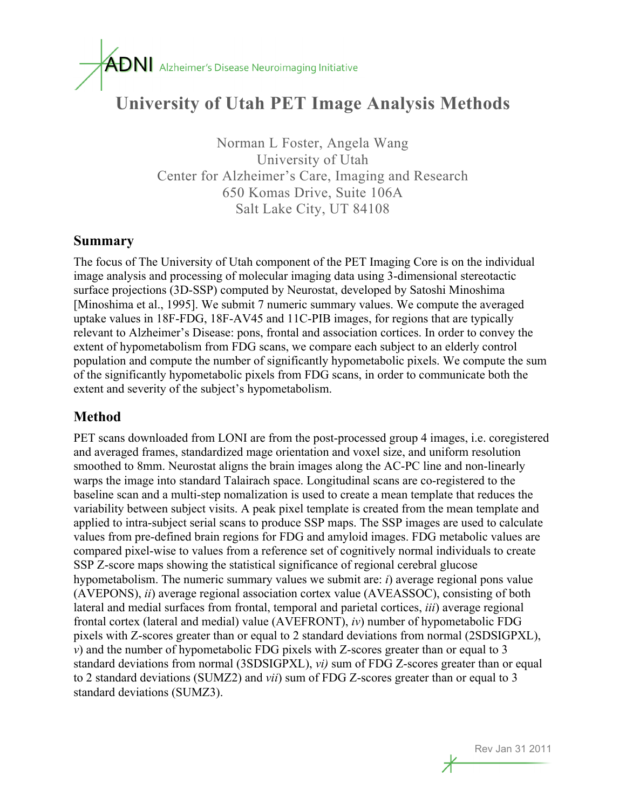# $\overline{ADN}$  Alzheimer's Disease Neuroimaging Initiative

## **University of Utah PET Image Analysis Methods**

Norman L Foster, Angela Wang University of Utah Center for Alzheimer's Care, Imaging and Research 650 Komas Drive, Suite 106A Salt Lake City, UT 84108

#### **Summary**

The focus of The University of Utah component of the PET Imaging Core is on the individual image analysis and processing of molecular imaging data using 3-dimensional stereotactic surface projections (3D-SSP) computed by Neurostat, developed by Satoshi Minoshima [Minoshima et al., 1995]. We submit 7 numeric summary values. We compute the averaged uptake values in 18F-FDG, 18F-AV45 and 11C-PIB images, for regions that are typically relevant to Alzheimer's Disease: pons, frontal and association cortices. In order to convey the extent of hypometabolism from FDG scans, we compare each subject to an elderly control population and compute the number of significantly hypometabolic pixels. We compute the sum of the significantly hypometabolic pixels from FDG scans, in order to communicate both the extent and severity of the subject's hypometabolism.

#### **Method**

PET scans downloaded from LONI are from the post-processed group 4 images, i.e. coregistered and averaged frames, standardized mage orientation and voxel size, and uniform resolution smoothed to 8mm. Neurostat aligns the brain images along the AC-PC line and non-linearly warps the image into standard Talairach space. Longitudinal scans are co-registered to the baseline scan and a multi-step nomalization is used to create a mean template that reduces the variability between subject visits. A peak pixel template is created from the mean template and applied to intra-subject serial scans to produce SSP maps. The SSP images are used to calculate values from pre-defined brain regions for FDG and amyloid images. FDG metabolic values are compared pixel-wise to values from a reference set of cognitively normal individuals to create SSP Z-score maps showing the statistical significance of regional cerebral glucose hypometabolism. The numeric summary values we submit are: *i*) average regional pons value (AVEPONS), *ii*) average regional association cortex value (AVEASSOC), consisting of both lateral and medial surfaces from frontal, temporal and parietal cortices, *iii*) average regional frontal cortex (lateral and medial) value (AVEFRONT), *iv*) number of hypometabolic FDG pixels with Z-scores greater than or equal to 2 standard deviations from normal (2SDSIGPXL), *v*) and the number of hypometabolic FDG pixels with Z-scores greater than or equal to 3 standard deviations from normal (3SDSIGPXL), *vi)* sum of FDG Z-scores greater than or equal to 2 standard deviations (SUMZ2) and *vii*) sum of FDG Z-scores greater than or equal to 3 standard deviations (SUMZ3).

Rev Jan 31 2011